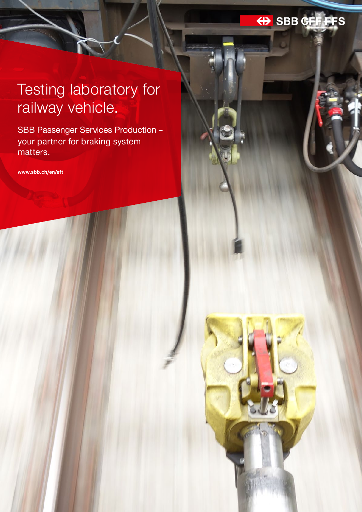## He SBB CFF FFS

# Testing laboratory for railway vehicle.

SBB Passenger Services Production – your partner for braking system matters.

**www.sbb.ch/en/eft**

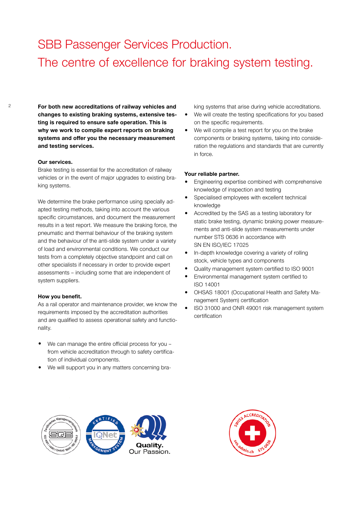### SBB Passenger Services Production. The centre of excellence for braking system testing.

2 **For both new accreditations of railway vehicles and changes to existing braking systems, extensive testing is required to ensure safe operation. This is why we work to compile expert reports on braking systems and offer you the necessary measurement and testing services.** 

#### **Our services.**

Brake testing is essential for the accreditation of railway vehicles or in the event of major upgrades to existing braking systems.

We determine the brake performance using specially adapted testing methods, taking into account the various specific circumstances, and document the measurement results in a test report. We measure the braking force, the pneumatic and thermal behaviour of the braking system and the behaviour of the anti-slide system under a variety of load and environmental conditions. We conduct our tests from a completely objective standpoint and call on other specialists if necessary in order to provide expert assessments – including some that are independent of system suppliers.

#### **How you benefit.**

As a rail operator and maintenance provider, we know the requirements imposed by the accreditation authorities and are qualified to assess operational safety and functionality.

- We can manage the entire official process for you from vehicle accreditation through to safety certification of individual components.
- We will support you in any matters concerning bra-

king systems that arise during vehicle accreditations.

- We will create the testing specifications for you based on the specific requirements.
- We will compile a test report for you on the brake components or braking systems, taking into consideration the regulations and standards that are currently in force.

#### **Your reliable partner.**

- Engineering expertise combined with comprehensive knowledge of inspection and testing
- Specialised employees with excellent technical knowledge
- Accredited by the SAS as a testing laboratory for static brake testing, dynamic braking power measurements and anti-slide system measurements under number STS 0636 in accordance with SN EN ISO/IEC 17025
- In-depth knowledge covering a variety of rolling stock, vehicle types and components
- Quality management system certified to ISO 9001
- Environmental management system certified to ISO 14001
- OHSAS 18001 (Occupational Health and Safety Management System) certification
- ISO 31000 and ONR 49001 risk management system certification



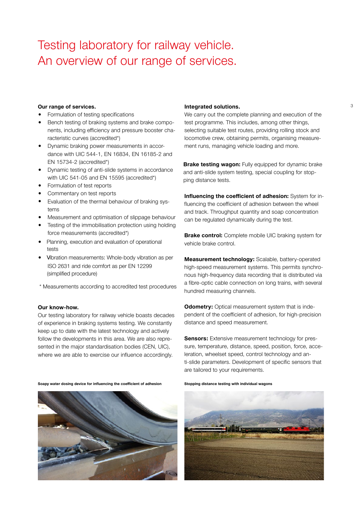### Testing laboratory for railway vehicle. An overview of our range of services.

#### **Our range of services. 3 111 Integrated solutions. 3 3 3 3**

- Formulation of testing specifications
- Bench testing of braking systems and brake components, including efficiency and pressure booster characteristic curves (accredited\*)
- Dynamic braking power measurements in accordance with UIC 544-1, EN 16834, EN 16185-2 and EN 15734-2 (accredited\*)
- Dynamic testing of anti-slide systems in accordance with UIC 541-05 and EN 15595 (accredited\*)
- Formulation of test reports
- Commentary on test reports
- Evaluation of the thermal behaviour of braking systems
- Measurement and optimisation of slippage behaviour
- Testing of the immobilisation protection using holding force measurements (accredited\*)
- Planning, execution and evaluation of operational tests
- Vibration measurements: Whole-body vibration as per ISO 2631 and ride comfort as per EN 12299 (simplified procedure)
- \* Measurements according to accredited test procedures

#### **Our know-how.**

Our testing laboratory for railway vehicle boasts decades of experience in braking systems testing. We constantly keep up to date with the latest technology and actively follow the developments in this area. We are also represented in the major standardisation bodies (CEN, UIC), where we are able to exercise our influence accordingly.

**Soapy water dosing device for influencing the coefficient of adhesion Stopping distance testing with individual wagons**



#### **Integrated solutions.**

We carry out the complete planning and execution of the test programme. This includes, among other things, selecting suitable test routes, providing rolling stock and locomotive crew, obtaining permits, organising measurement runs, managing vehicle loading and more.

**Brake testing wagon:** Fully equipped for dynamic brake and anti-slide system testing, special coupling for stopping distance tests.

**Influencing the coefficient of adhesion:** System for influencing the coefficient of adhesion between the wheel and track. Throughput quantity and soap concentration can be regulated dynamically during the test.

**Brake control:** Complete mobile UIC braking system for vehicle brake control.

**Measurement technology:** Scalable, battery-operated high-speed measurement systems. This permits synchronous high-frequency data recording that is distributed via a fibre-optic cable connection on long trains, with several hundred measuring channels.

**Odometry:** Optical measurement system that is independent of the coefficient of adhesion, for high-precision distance and speed measurement.

**Sensors:** Extensive measurement technology for pressure, temperature, distance, speed, position, force, acceleration, wheelset speed, control technology and anti-slide parameters. Development of specific sensors that are tailored to your requirements.